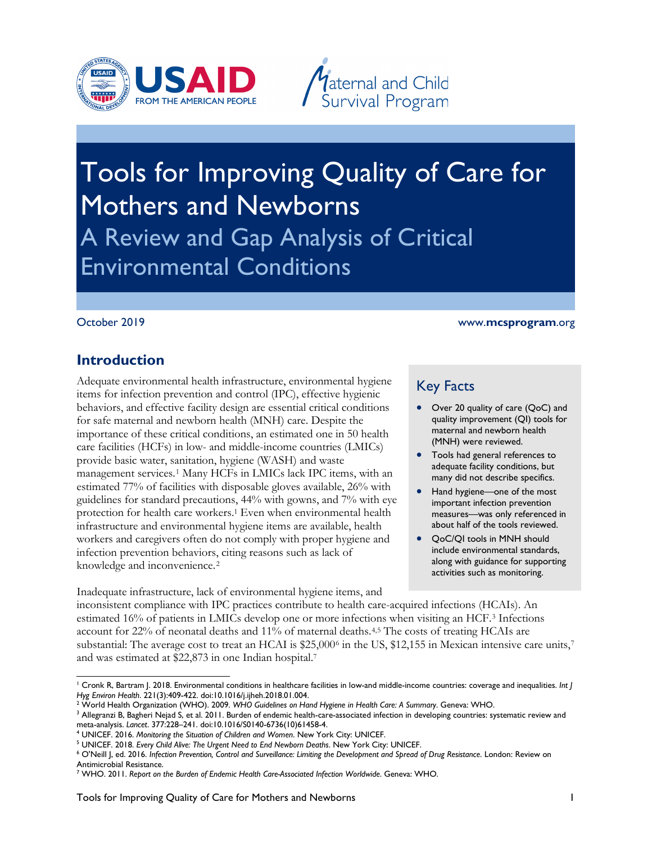



# Tools for Improving Quality of Care for Mothers and Newborns A Review and Gap Analysis of Critical Environmental Conditions

#### October 2019

#### www.**mcsprogram**.org

#### **Introduction**

 management services.[1](#page-0-0) Many HCFs in LMICs lack IPC items, with an workers and caregivers often do not comply with proper hygiene and Adequate environmental health infrastructure, environmental hygiene items for infection prevention and control (IPC), effective hygienic behaviors, and effective facility design are essential critical conditions for safe maternal and newborn health (MNH) care. Despite the importance of these critical conditions, an estimated one in 50 health care facilities (HCFs) in low- and middle-income countries (LMICs) provide basic water, sanitation, hygiene (WASH) and waste estimated 77% of facilities with disposable gloves available, 26% with guidelines for standard precautions, 44% with gowns, and 7% with eye protection for health care workers. 1 Even when environmental health infrastructure and environmental hygiene items are available, health infection prevention behaviors, citing reasons such as lack of knowledge and inconvenience.<sup>[2](#page-0-1)</sup>

## Key Facts

- Over 20 quality of care (QoC) and quality improvement (QI) tools for maternal and newborn health (MNH) were reviewed.
- adequate facility conditions, but • Tools had general references to many did not describe specifics.
- about half of the tools reviewed. Hand hygiene—one of the most important infection prevention measures—was only referenced in
- QoC/QI tools in MNH should include environmental standards, along with guidance for supporting activities such as monitoring.

Inadequate infrastructure, lack of environmental hygiene items, and inconsistent compliance with IPC practices contribute to health care-acquired infections (HCAIs). An estimated 16% of patients in LMICs develop one or more infections when visiting an HCF.[3](#page-0-2) Infections account for 22% of neonatal deaths and 11% of maternal deaths.[4](#page-0-3),[5](#page-0-4) The costs of treating HCAIs are substantial: The average cost to treat an HCAI is \$25,000<sup>6</sup> in the US, \$12,155 in Mexican intensive care units,<sup>7</sup> and was estimated at \$22,873 in one Indian hospital. 7

 $\overline{a}$ 1 Cronk R, Bartram J. 2018. Environmental conditions in healthcare facilities in low-and middle-income countries: coverage and inequalities. *Int J* 

<span id="page-0-1"></span>

<span id="page-0-0"></span><sup>&</sup>lt;sup>3</sup> Allegranzi B, Bagheri Nejad S, et al. 2011. Burden of endemic health-care-associated infection in developing countries: systematic review and<br>meta-analysis. Lancet. 377:228–241. doi:10.1016/S0140-6736(10)61458-4. Hyg Environ Health. 221(3):409-422. doi:10.1016/j.ijheh.2018.01.004.<br><sup>2</sup> World Health Organization (WHO). 2009. WHO Guidelines on Hand Hygiene in Health Care: A Summary. Geneva: WHO.<br><sup>3</sup> Allegranzi B, Bagheri Nejad S, et a

<span id="page-0-3"></span><sup>&</sup>lt;sup>4</sup> UNICEF. 2016. Monitoring the Situation of Children and Women. New York City: UNICEF.

<span id="page-0-5"></span><span id="page-0-4"></span><sup>&</sup>lt;sup>5</sup> UNICEF. 2018. Every Child Alive: The Urgent Need to End Newborn Deaths. New York City: UNICEF.

<span id="page-0-2"></span>meta-analysis. Lancet. 377:228–241. doi:10.1016/S0140-6736(10)61458-4.<br><sup>4</sup> UNICEF. 2016. *Monitoring the Situation of Children and Women*. New York City: UNICEF.<br><sup>5</sup> UNICEF. 2018. *Every Child Alive: The Urgent Need to End* Antimicrobial Resistance.

<span id="page-0-6"></span> 7 WHO. 2011. *Report on the Burden of Endemic Health Care-Associated Infection Worldwide*. Geneva: WHO.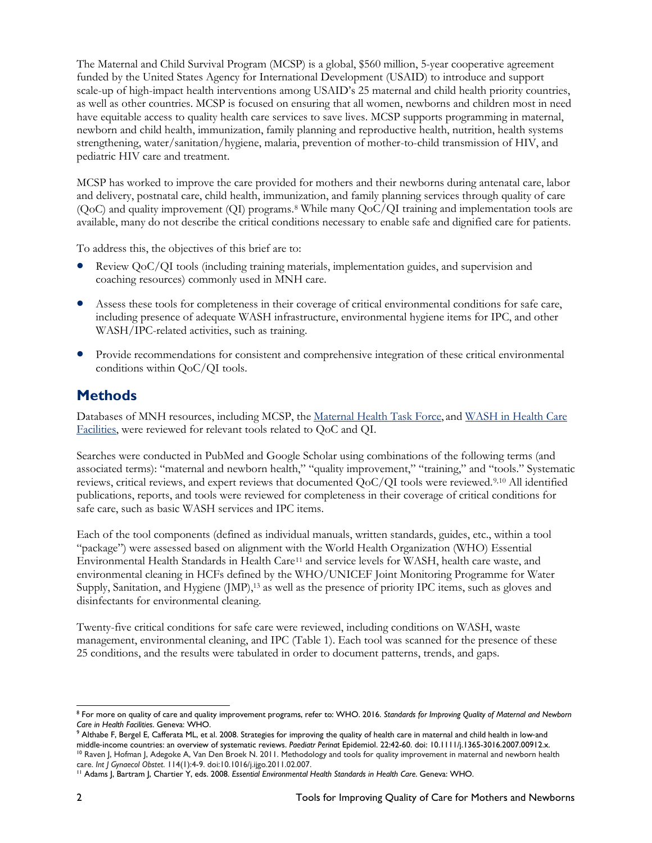have equitable access to quality health care services to save lives. MCSP supports programming in maternal, newborn and child health, immunization, family planning and reproductive health, nutrition, health systems The Maternal and Child Survival Program (MCSP) is a global, \$560 million, 5-year cooperative agreement funded by the United States Agency for International Development (USAID) to introduce and support scale-up of high-impact health interventions among USAID's 25 maternal and child health priority countries, as well as other countries. MCSP is focused on ensuring that all women, newborns and children most in need strengthening, water/sanitation/hygiene, malaria, prevention of mother-to-child transmission of HIV, and pediatric HIV care and treatment.

 and delivery, postnatal care, child health, immunization, and family planning services through quality of care MCSP has worked to improve the care provided for mothers and their newborns during antenatal care, labor (QoC) and quality improvement (QI) programs.[8](#page-1-0) While many QoC/QI training and implementation tools are available, many do not describe the critical conditions necessary to enable safe and dignified care for patients.

To address this, the objectives of this brief are to:

- coaching resources) commonly used in MNH care. • Review QoC/QI tools (including training materials, implementation guides, and supervision and
- • Assess these tools for completeness in their coverage of critical environmental conditions for safe care, WASH/IPC-related activities, such as training. including presence of adequate WASH infrastructure, environmental hygiene items for IPC, and other
- Provide recommendations for consistent and comprehensive integration of these critical environmental conditions within QoC/QI tools.

#### **Methods**

Databases of MNH resources, including MCSP, the [Maternal Health Task Force,](https://www.mhtf.org/) and WASH in Health Care [Facilities,](https://www.washinhcf.org/) were reviewed for relevant tools related to QoC and QI.

Searches were conducted in PubMed and Google Scholar using combinations of the following terms (and associated terms): "maternal and newborn health," "quality improvement," "training," and "tools." Systematic reviews, critical reviews, and expert reviews that documented QoC/QI tools were reviewed.[9,](#page-1-1)[10](#page-1-2) All identified publications, reports, and tools were reviewed for completeness in their coverage of critical conditions for safe care, such as basic WASH services and IPC items.

 "package") were assessed based on alignment with the World Health Organization (WHO) Essential Environmental Health Standards in Health Care<sup>[11](#page-1-3)</sup> and service levels for WASH, health care waste, and Each of the tool components (defined as individual manuals, written standards, guides, etc., within a tool environmental cleaning in HCFs defined by the WHO/UNICEF Joint Monitoring Programme for Water Supply, Sanitation, and Hygiene (JMP), 13 as well as the presence of priority IPC items, such as gloves and disinfectants for environmental cleaning.

 25 conditions, and the results were tabulated in order to document patterns, trends, and gaps. Twenty-five critical conditions for safe care were reviewed, including conditions on WASH, waste management, environmental cleaning, and IPC (Table 1). Each tool was scanned for the presence of these

<span id="page-1-0"></span> $\overline{a}$ 8 For more on quality of care and quality improvement programs, refer to: WHO. 2016. *Standards for Improving Quality of Maternal and Newborn* 

<span id="page-1-1"></span>*Care in Health Facilities.* Geneva: WHO.<br><sup>9</sup> Althabe F, Bergel E, Cafferata ML, et al. 2008. Strategies for improving the quality of health care in maternal and child health in low-and middle-income countries: an overview of systematic reviews. *Paediatr Perinat* Epidemiol. 22:42-60. doi: 10.1111/j.1365-3016.2007.00912.x.<br><sup>10</sup> Raven J, Hofman J, Adegoke A, Van Den Broek N. 2011. Methodology and tools for

<span id="page-1-3"></span><span id="page-1-2"></span>care. *Int J Gynaecol Obstet.* 114(1):4-9. doi:10.1016/j.ijgo.2011.02.007.<br><sup>11</sup> Adams J, Bartram J, Chartier Y, eds. 2008. *Essential Environmental Health Standards in Health Care*. Geneva: WHO.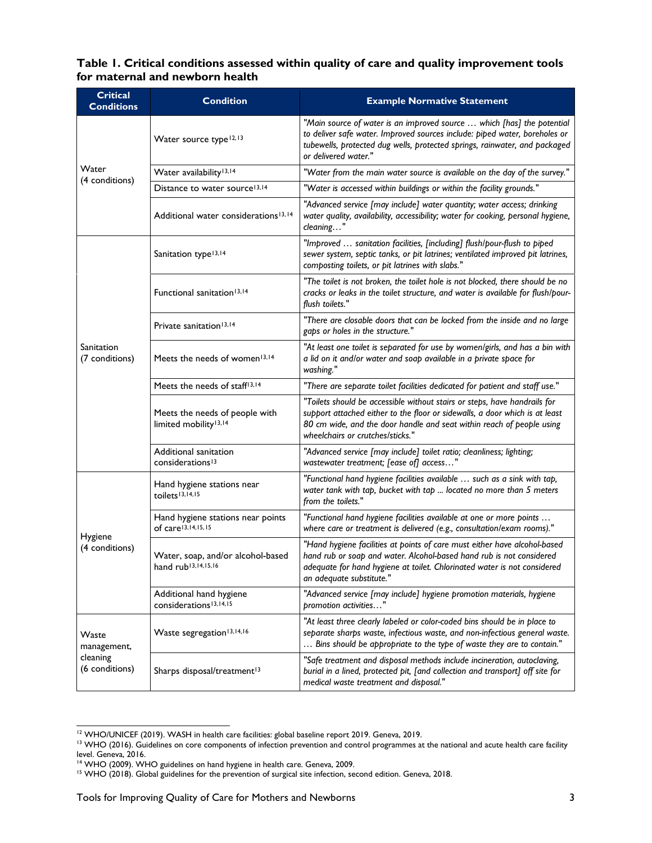#### **Table 1. Critical conditions assessed within quality of care and quality improvement tools for maternal and newborn health**

| <b>Critical</b><br><b>Conditions</b>               | <b>Condition</b>                                                                                                                                                                                                              | <b>Example Normative Statement</b>                                                                                                                                                                                                                                    |  |  |  |
|----------------------------------------------------|-------------------------------------------------------------------------------------------------------------------------------------------------------------------------------------------------------------------------------|-----------------------------------------------------------------------------------------------------------------------------------------------------------------------------------------------------------------------------------------------------------------------|--|--|--|
|                                                    | Water source type <sup>12,13</sup>                                                                                                                                                                                            | "Main source of water is an improved source  which [has] the potential<br>to deliver safe water. Improved sources include: piped water, boreholes or<br>tubewells, protected dug wells, protected springs, rainwater, and packaged<br>or delivered water."            |  |  |  |
| Water                                              | Water availability <sup>13,14</sup>                                                                                                                                                                                           | "Water from the main water source is available on the day of the survey."                                                                                                                                                                                             |  |  |  |
| (4 conditions)                                     | Distance to water source <sup>13,14</sup>                                                                                                                                                                                     | "Water is accessed within buildings or within the facility grounds."                                                                                                                                                                                                  |  |  |  |
|                                                    | Additional water considerations <sup>13,14</sup>                                                                                                                                                                              | "Advanced service [may include] water quantity; water access; drinking<br>water quality, availability, accessibility; water for cooking, personal hygiene,<br>cleaning"                                                                                               |  |  |  |
|                                                    | Sanitation type <sup>13,14</sup>                                                                                                                                                                                              | "Improved  sanitation facilities, [including] flush/pour-flush to piped<br>sewer system, septic tanks, or pit latrines; ventilated improved pit latrines,<br>composting toilets, or pit latrines with slabs."                                                         |  |  |  |
| Sanitation<br>(7 conditions)                       | "The toilet is not broken, the toilet hole is not blocked, there should be no<br>Functional sanitation <sup>13,14</sup><br>cracks or leaks in the toilet structure, and water is available for flush/pour-<br>flush toilets." |                                                                                                                                                                                                                                                                       |  |  |  |
|                                                    | "There are closable doors that can be locked from the inside and no large<br>Private sanitation <sup>13,14</sup><br>gaps or holes in the structure."                                                                          |                                                                                                                                                                                                                                                                       |  |  |  |
|                                                    | Meets the needs of women <sup>13,14</sup>                                                                                                                                                                                     | "At least one toilet is separated for use by women/girls, and has a bin with<br>a lid on it and/or water and soap available in a private space for<br>washing."                                                                                                       |  |  |  |
|                                                    | Meets the needs of staff <sup>13,14</sup>                                                                                                                                                                                     | "There are separate toilet facilities dedicated for patient and staff use."                                                                                                                                                                                           |  |  |  |
|                                                    | Meets the needs of people with<br>limited mobility <sup>13,14</sup>                                                                                                                                                           | "Toilets should be accessible without stairs or steps, have handrails for<br>support attached either to the floor or sidewalls, a door which is at least<br>80 cm wide, and the door handle and seat within reach of people using<br>wheelchairs or crutches/sticks." |  |  |  |
|                                                    | Additional sanitation<br>considerations <sup>13</sup>                                                                                                                                                                         | "Advanced service [may include] toilet ratio; cleanliness; lighting;<br>wastewater treatment; [ease of] access"                                                                                                                                                       |  |  |  |
| Hygiene<br>(4 conditions)                          | Hand hygiene stations near<br>toilets <sup>13,14,15</sup>                                                                                                                                                                     | "Functional hand hygiene facilities available  such as a sink with tap,<br>water tank with tap, bucket with tap  located no more than 5 meters<br>from the toilets."                                                                                                  |  |  |  |
|                                                    | Hand hygiene stations near points<br>of care <sup>13,14,15,15</sup>                                                                                                                                                           | "Functional hand hygiene facilities available at one or more points<br>where care or treatment is delivered (e.g., consultation/exam rooms)."                                                                                                                         |  |  |  |
|                                                    | Water, soap, and/or alcohol-based<br>hand rub <sup>13,14,15,16</sup>                                                                                                                                                          | "Hand hygiene facilities at points of care must either have alcohol-based<br>hand rub or soap and water. Alcohol-based hand rub is not considered<br>adequate for hand hygiene at toilet. Chlorinated water is not considered<br>an adequate substitute."             |  |  |  |
|                                                    | Additional hand hygiene<br>considerations <sup>13,14,15</sup>                                                                                                                                                                 | "Advanced service [may include] hygiene promotion materials, hygiene<br>promotion activities'                                                                                                                                                                         |  |  |  |
| Waste<br>management,<br>cleaning<br>(6 conditions) | Waste segregation <sup>13,14,16</sup>                                                                                                                                                                                         | "At least three clearly labeled or color-coded bins should be in place to<br>separate sharps waste, infectious waste, and non-infectious general waste.<br>Bins should be appropriate to the type of waste they are to contain."                                      |  |  |  |
|                                                    | Sharps disposal/treatment <sup>13</sup>                                                                                                                                                                                       | "Safe treatment and disposal methods include incineration, autoclaving,<br>burial in a lined, protected pit, [and collection and transport] off site for<br>medical waste treatment and disposal."                                                                    |  |  |  |

 $\overline{a}$ 

<span id="page-2-1"></span><span id="page-2-0"></span><sup>&</sup>lt;sup>12</sup> WHO/UNICEF (2019). WASH in health care facilities: global baseline report 2019. Geneva, 2019.<br><sup>13</sup> WHO (2016). Guidelines on core components of infection prevention and control programmes at the national and acute hea level. Geneva, 2016.

<span id="page-2-3"></span><span id="page-2-2"></span>

<sup>&</sup>lt;sup>14</sup> WHO (2009). WHO guidelines on hand hygiene in health care. Geneva, 2009.<br><sup>15</sup> WHO (2018). Global guidelines for the prevention of surgical site infection, second edition. Geneva, 2018.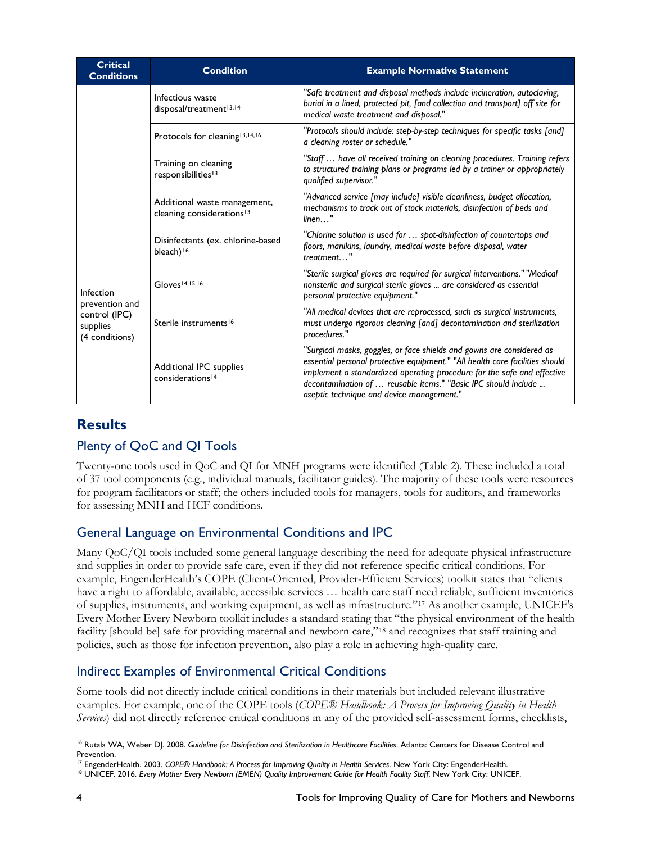| <b>Critical</b><br><b>Conditions</b>                                       | <b>Condition</b>                                                      | <b>Example Normative Statement</b>                                                                                                                                                                                                                                                                                                              |  |  |  |  |
|----------------------------------------------------------------------------|-----------------------------------------------------------------------|-------------------------------------------------------------------------------------------------------------------------------------------------------------------------------------------------------------------------------------------------------------------------------------------------------------------------------------------------|--|--|--|--|
|                                                                            | Infectious waste<br>disposal/treatment <sup>13,14</sup>               | "Safe treatment and disposal methods include incineration, autoclaving,<br>burial in a lined, protected pit, [and collection and transport] off site for<br>medical waste treatment and disposal."                                                                                                                                              |  |  |  |  |
|                                                                            | Protocols for cleaning <sup>13,14,16</sup>                            | "Protocols should include: step-by-step techniques for specific tasks [and]<br>a cleaning roster or schedule.'                                                                                                                                                                                                                                  |  |  |  |  |
|                                                                            | Training on cleaning<br>responsibilities <sup>13</sup>                | "Staff  have all received training on cleaning procedures. Training refers<br>to structured training plans or programs led by a trainer or appropriately<br>qualified supervisor."                                                                                                                                                              |  |  |  |  |
|                                                                            | Additional waste management,<br>cleaning considerations <sup>13</sup> | "Advanced service [may include] visible cleanliness, budget allocation,<br>mechanisms to track out of stock materials, disinfection of beds and<br>$linen$                                                                                                                                                                                      |  |  |  |  |
| Infection<br>prevention and<br>control (IPC)<br>supplies<br>(4 conditions) | Disinfectants (ex. chlorine-based<br>bleach) <sup>16</sup>            | "Chlorine solution is used for  spot-disinfection of countertops and<br>floors, manikins, laundry, medical waste before disposal, water<br>treatment"                                                                                                                                                                                           |  |  |  |  |
|                                                                            | Gloves <sup>14,15,16</sup>                                            | "Sterile surgical gloves are required for surgical interventions." "Medical<br>nonsterile and surgical sterile gloves  are considered as essential<br>personal protective equipment."                                                                                                                                                           |  |  |  |  |
|                                                                            | Sterile instruments <sup>16</sup>                                     | "All medical devices that are reprocessed, such as surgical instruments,<br>must undergo rigorous cleaning [and] decontamination and sterilization<br>procedures."                                                                                                                                                                              |  |  |  |  |
|                                                                            | Additional IPC supplies<br>considerations <sup>14</sup>               | "Surgical masks, goggles, or face shields and gowns are considered as<br>essential personal protective equipment." "All health care facilities should<br>implement a standardized operating procedure for the safe and effective<br>decontamination of  reusable items." "Basic IPC should include<br>aseptic technique and device management." |  |  |  |  |

#### **Results**

## Plenty of QoC and QI Tools

 of 37 tool components (e.g., individual manuals, facilitator guides). The majority of these tools were resources Twenty-one tools used in QoC and QI for MNH programs were identified (Table 2). These included a total for program facilitators or staff; the others included tools for managers, tools for auditors, and frameworks for assessing MNH and HCF conditions.

#### General Language on Environmental Conditions and IPC

 and supplies in order to provide safe care, even if they did not reference specific critical conditions. For Every Mother Every Newborn toolkit includes a standard stating that "the physical environment of the health Many QoC/QI tools included some general language describing the need for adequate physical infrastructure example, EngenderHealth's COPE (Client-Oriented, Provider-Efficient Services) toolkit states that "clients have a right to affordable, available, accessible services … health care staff need reliable, sufficient inventories of supplies, instruments, and working equipment, as well as infrastructure."[17](#page-3-1) As another example, UNICEF's facility [should be] safe for providing maternal and newborn care,"<sup>[18](#page-3-2)</sup> and recognizes that staff training and policies, such as those for infection prevention, also play a role in achieving high-quality care.

#### Indirect Examples of Environmental Critical Conditions

Some tools did not directly include critical conditions in their materials but included relevant illustrative examples. For example, one of the COPE tools (*COPE® Handbook: A Process for Improving Quality in Health Services*) did not directly reference critical conditions in any of the provided self-assessment forms, checklists,

<span id="page-3-0"></span> $\overline{a}$ <sup>16</sup> Rutala WA, Weber DJ. 2008. Guideline for Disinfection and Sterilization in Healthcare Facilities. Atlanta: Centers for Disease Control and Prevention.

<span id="page-3-2"></span><span id="page-3-1"></span><sup>&</sup>lt;sup>17</sup> EngenderHealth. 2003. COPE<sup>®</sup> Handbook: A Process for Improving Quality in Health Services. New York City: EngenderHealth.

<sup>&</sup>lt;sup>17</sup> EngenderHealth. 2003. COPE® Handbook: A Process for Improving Quality in Health Services. New York City: EngenderHealth.<br><sup>18</sup> UNICEF. 2016. Every Mother Every Newborn (EMEN) Quality Improvement Guide for Health Facili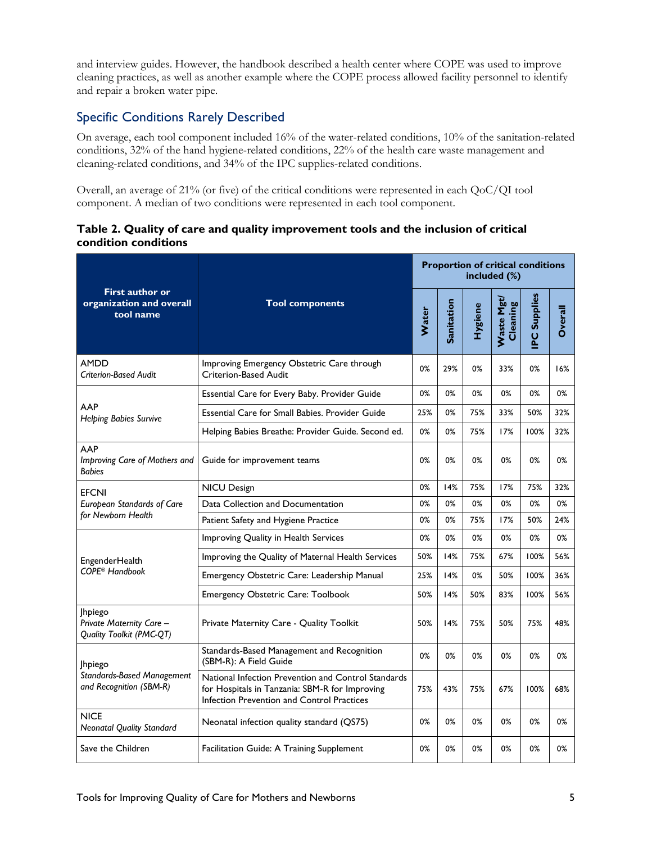cleaning practices, as well as another example where the COPE process allowed facility personnel to identify and interview guides. However, the handbook described a health center where COPE was used to improve and repair a broken water pipe.

#### Specific Conditions Rarely Described

On average, each tool component included 16% of the water-related conditions, 10% of the sanitation-related conditions, 32% of the hand hygiene-related conditions, 22% of the health care waste management and cleaning-related conditions, and 34% of the IPC supplies-related conditions.

 component. A median of two conditions were represented in each tool component. Overall, an average of 21% (or five) of the critical conditions were represented in each QoC/QI tool

 **Table 2. Quality of care and quality improvement tools and the inclusion of critical condition conditions** 

|                                                                                      | <b>Tool components</b>                                                                                                                              |     | <b>Proportion of critical conditions</b><br>included (%) |                |                        |                    |                |  |
|--------------------------------------------------------------------------------------|-----------------------------------------------------------------------------------------------------------------------------------------------------|-----|----------------------------------------------------------|----------------|------------------------|--------------------|----------------|--|
| <b>First author or</b><br>organization and overall<br>tool name                      |                                                                                                                                                     |     | Sanitation                                               | <b>Hygiene</b> | Waste Mgt/<br>Cleaning | <b>PC Supplies</b> | <b>Overall</b> |  |
| <b>AMDD</b><br><b>Criterion-Based Audit</b>                                          | Improving Emergency Obstetric Care through<br>Criterion-Based Audit                                                                                 | 0%  | 29%                                                      | 0%             | 33%                    | 0%                 | 16%            |  |
|                                                                                      | Essential Care for Every Baby. Provider Guide                                                                                                       |     | 0%                                                       | 0%             | 0%                     | 0%                 | 0%             |  |
| AAP<br><b>Helping Babies Survive</b>                                                 | Essential Care for Small Babies. Provider Guide                                                                                                     | 25% | 0%                                                       | 75%            | 33%                    | 50%                | 32%            |  |
|                                                                                      | Helping Babies Breathe: Provider Guide. Second ed.                                                                                                  | 0%  | 0%                                                       | 75%            | 17%                    | 100%               | 32%            |  |
| AAP<br>Improving Care of Mothers and<br>Guide for improvement teams<br><b>Babies</b> |                                                                                                                                                     | 0%  | 0%                                                       | 0%             | 0%                     | 0%                 | 0%             |  |
| <b>EFCNI</b>                                                                         | <b>NICU Design</b>                                                                                                                                  |     | 14%                                                      | 75%            | 17%                    | 75%                | 32%            |  |
| European Standards of Care                                                           | Data Collection and Documentation                                                                                                                   | 0%  | 0%                                                       | 0%             | 0%                     | 0%                 | 0%             |  |
| for Newborn Health                                                                   | Patient Safety and Hygiene Practice                                                                                                                 | 0%  | 0%                                                       | 75%            | 17%                    | 50%                | 24%            |  |
|                                                                                      | Improving Quality in Health Services                                                                                                                |     | 0%                                                       | 0%             | 0%                     | 0%                 | 0%             |  |
| EngenderHealth                                                                       | Improving the Quality of Maternal Health Services                                                                                                   | 50% | 14%                                                      | 75%            | 67%                    | 100%               | 56%            |  |
| COPE <sup>®</sup> Handbook                                                           | Emergency Obstetric Care: Leadership Manual                                                                                                         | 25% | 14%                                                      | 0%             | 50%                    | 100%               | 36%            |  |
|                                                                                      | Emergency Obstetric Care: Toolbook                                                                                                                  | 50% | 14%                                                      | 50%            | 83%                    | 100%               | 56%            |  |
| Jhpiego<br>Private Maternity Care -<br>Quality Toolkit (PMC-QT)                      | Private Maternity Care - Quality Toolkit                                                                                                            | 50% | 14%                                                      | 75%            | 50%                    | 75%                | 48%            |  |
| <b>Ihpiego</b>                                                                       | Standards-Based Management and Recognition<br>(SBM-R): A Field Guide                                                                                | 0%  | 0%                                                       | 0%             | 0%                     | 0%                 | 0%             |  |
| <b>Standards-Based Management</b><br>and Recognition (SBM-R)                         | National Infection Prevention and Control Standards<br>for Hospitals in Tanzania: SBM-R for Improving<br>Infection Prevention and Control Practices | 75% | 43%                                                      | 75%            | 67%                    | 100%               | 68%            |  |
| <b>NICE</b><br><b>Neonatal Quality Standard</b>                                      | Neonatal infection quality standard (QS75)                                                                                                          | 0%  | 0%                                                       | 0%             | 0%                     | 0%                 | 0%             |  |
| Save the Children                                                                    | Facilitation Guide: A Training Supplement                                                                                                           | 0%  | 0%                                                       | 0%             | 0%                     | 0%                 | 0%             |  |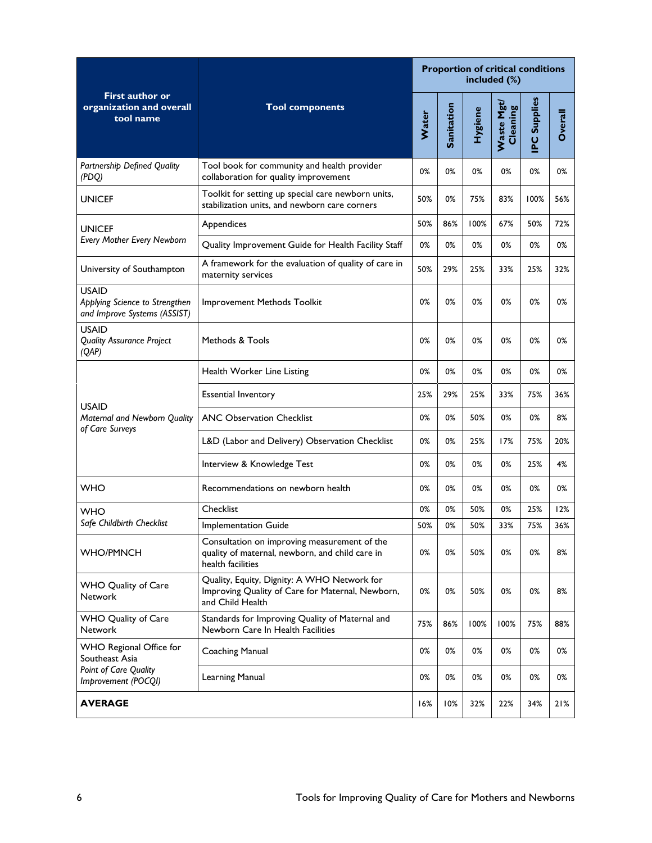|                                                                                                                                                              |                                                                                                                      | <b>Proportion of critical conditions</b><br>included (%) |            |                |                               |                     |         |
|--------------------------------------------------------------------------------------------------------------------------------------------------------------|----------------------------------------------------------------------------------------------------------------------|----------------------------------------------------------|------------|----------------|-------------------------------|---------------------|---------|
| <b>First author or</b><br>organization and overall<br>tool name                                                                                              | <b>Tool components</b>                                                                                               |                                                          | Sanitation | <b>Hygiene</b> | <b>Waste Mgt/</b><br>Cleaning | <b>IPC Supplies</b> | Overall |
| Partnership Defined Quality<br>(PDQ)                                                                                                                         | Tool book for community and health provider<br>collaboration for quality improvement                                 | 0%                                                       | 0%         | 0%             | 0%                            | 0%                  | 0%      |
| <b>UNICEF</b>                                                                                                                                                | Toolkit for setting up special care newborn units,<br>stabilization units, and newborn care corners                  | 50%                                                      | 0%         | 75%            | 83%                           | 100%                | 56%     |
| <b>UNICEF</b>                                                                                                                                                | Appendices                                                                                                           |                                                          | 86%        | 100%           | 67%                           | 50%                 | 72%     |
| <b>Every Mother Every Newborn</b>                                                                                                                            | Quality Improvement Guide for Health Facility Staff                                                                  | 0%                                                       | 0%         | 0%             | 0%                            | 0%                  | 0%      |
| University of Southampton                                                                                                                                    | A framework for the evaluation of quality of care in<br>maternity services                                           | 50%                                                      | 29%        | 25%            | 33%                           | 25%                 | 32%     |
| <b>USAID</b><br>Applying Science to Strengthen<br>and Improve Systems (ASSIST)                                                                               | Improvement Methods Toolkit                                                                                          | 0%                                                       | 0%         | 0%             | 0%                            | 0%                  | 0%      |
| <b>USAID</b><br><b>Quality Assurance Project</b><br>(QAP)                                                                                                    | Methods & Tools                                                                                                      | 0%                                                       | 0%         | 0%             | 0%                            | 0%                  | 0%      |
|                                                                                                                                                              | Health Worker Line Listing                                                                                           | 0%                                                       | 0%         | 0%             | 0%                            | 0%                  | 0%      |
| <b>USAID</b>                                                                                                                                                 | <b>Essential Inventory</b>                                                                                           | 25%                                                      | 29%        | 25%            | 33%                           | 75%                 | 36%     |
| Maternal and Newborn Quality<br>of Care Surveys                                                                                                              | <b>ANC Observation Checklist</b>                                                                                     | 0%                                                       | 0%         | 50%            | 0%                            | 0%                  | 8%      |
|                                                                                                                                                              | L&D (Labor and Delivery) Observation Checklist                                                                       | 0%                                                       | 0%         | 25%            | 17%                           | 75%                 | 20%     |
|                                                                                                                                                              | Interview & Knowledge Test                                                                                           | 0%                                                       | 0%         | 0%             | 0%                            | 25%                 | 4%      |
| <b>WHO</b>                                                                                                                                                   | Recommendations on newborn health                                                                                    | 0%                                                       | 0%         | 0%             | 0%                            | 0%                  | 0%      |
| <b>WHO</b>                                                                                                                                                   | Checklist                                                                                                            | 0%                                                       | 0%         | 50%            | 0%                            | 25%                 | 12%     |
| Safe Childbirth Checklist                                                                                                                                    | Implementation Guide                                                                                                 | 50%                                                      | 0%         | 50%            | 33%                           | 75%                 | 36%     |
| <b>WHO/PMNCH</b>                                                                                                                                             | Consultation on improving measurement of the<br>quality of maternal, newborn, and child care in<br>health facilities | 0%                                                       | 0%         | 50%            | 0%                            | 0%                  | 8%      |
| Quality, Equity, Dignity: A WHO Network for<br><b>WHO Quality of Care</b><br>Improving Quality of Care for Maternal, Newborn,<br>Network<br>and Child Health |                                                                                                                      | 0%                                                       | 0%         | 50%            | 0%                            | 0%                  | 8%      |
| WHO Quality of Care<br><b>Network</b>                                                                                                                        | Standards for Improving Quality of Maternal and<br>Newborn Care In Health Facilities                                 | 75%                                                      | 86%        | 100%           | 100%                          | 75%                 | 88%     |
| WHO Regional Office for<br>Southeast Asia                                                                                                                    | <b>Coaching Manual</b>                                                                                               | 0%                                                       | 0%         | 0%             | 0%                            | 0%                  | 0%      |
| Point of Care Quality<br>Improvement (POCQI)                                                                                                                 | Learning Manual                                                                                                      | 0%                                                       | 0%         | 0%             | 0%                            | 0%                  | 0%      |
| <b>AVERAGE</b>                                                                                                                                               |                                                                                                                      | 16%                                                      | 10%        | 32%            | 22%                           | 34%                 | 21%     |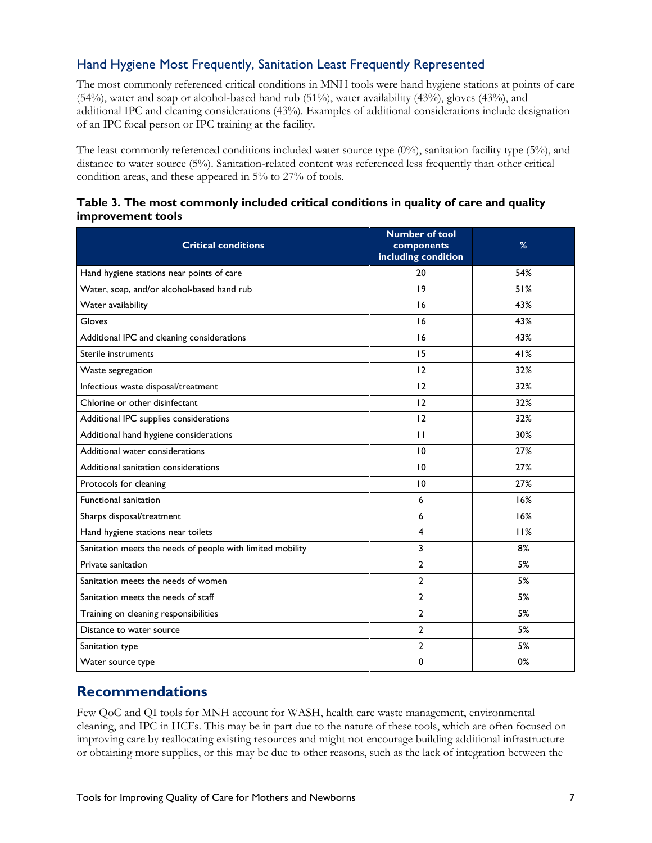#### Hand Hygiene Most Frequently, Sanitation Least Frequently Represented

 of an IPC focal person or IPC training at the facility. The most commonly referenced critical conditions in MNH tools were hand hygiene stations at points of care (54%), water and soap or alcohol-based hand rub (51%), water availability (43%), gloves (43%), and additional IPC and cleaning considerations (43%). Examples of additional considerations include designation

The least commonly referenced conditions included water source type (0%), sanitation facility type (5%), and distance to water source (5%). Sanitation-related content was referenced less frequently than other critical condition areas, and these appeared in 5% to 27% of tools.

|                   | Table 3. The most commonly included critical conditions in quality of care and quality |  |  |  |
|-------------------|----------------------------------------------------------------------------------------|--|--|--|
| improvement tools |                                                                                        |  |  |  |

| <b>Critical conditions</b>                                 | <b>Number of tool</b><br>components<br>including condition | %   |
|------------------------------------------------------------|------------------------------------------------------------|-----|
| Hand hygiene stations near points of care                  | 20                                                         | 54% |
| Water, soap, and/or alcohol-based hand rub                 | 19                                                         | 51% |
| Water availability                                         | 16                                                         | 43% |
| Gloves                                                     | 16                                                         | 43% |
| Additional IPC and cleaning considerations                 | 16                                                         | 43% |
| Sterile instruments                                        | 15                                                         | 41% |
| Waste segregation                                          | 12                                                         | 32% |
| Infectious waste disposal/treatment                        | 12                                                         | 32% |
| Chlorine or other disinfectant                             | 12                                                         | 32% |
| Additional IPC supplies considerations                     | 12                                                         | 32% |
| Additional hand hygiene considerations                     | $\mathbf{H}$                                               | 30% |
| Additional water considerations                            | 10                                                         | 27% |
| Additional sanitation considerations                       | 10                                                         | 27% |
| Protocols for cleaning                                     | 10                                                         | 27% |
| Functional sanitation                                      | 6                                                          | 16% |
| Sharps disposal/treatment                                  | 6                                                          | 16% |
| Hand hygiene stations near toilets                         | 4                                                          | 11% |
| Sanitation meets the needs of people with limited mobility | 3                                                          | 8%  |
| Private sanitation                                         | $\overline{2}$                                             | 5%  |
| Sanitation meets the needs of women                        | $\mathbf{2}$                                               | 5%  |
| Sanitation meets the needs of staff                        | $\overline{2}$                                             | 5%  |
| Training on cleaning responsibilities                      | $\overline{2}$                                             | 5%  |
| Distance to water source                                   | $\overline{2}$                                             | 5%  |
| Sanitation type                                            | 2                                                          | 5%  |
| Water source type                                          | 0                                                          | 0%  |

# **Recommendations**

 Few QoC and QI tools for MNH account for WASH, health care waste management, environmental cleaning, and IPC in HCFs. This may be in part due to the nature of these tools, which are often focused on improving care by reallocating existing resources and might not encourage building additional infrastructure or obtaining more supplies, or this may be due to other reasons, such as the lack of integration between the